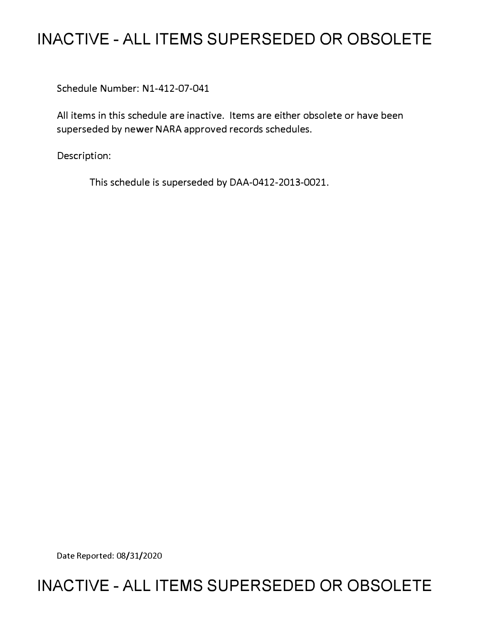# **INACTIVE - ALL ITEMS SUPERSEDED OR OBSOLETE**

Schedule Number: Nl-412-07-041

All items in this schedule are inactive. Items are either obsolete or have been superseded by newer NARA approved records schedules.

Description:

This schedule is superseded by DAA-0412-2013-0021.

Date Reported: 08/31/2020

# **INACTIVE - ALL ITEMS SUPERSEDED OR OBSOLETE**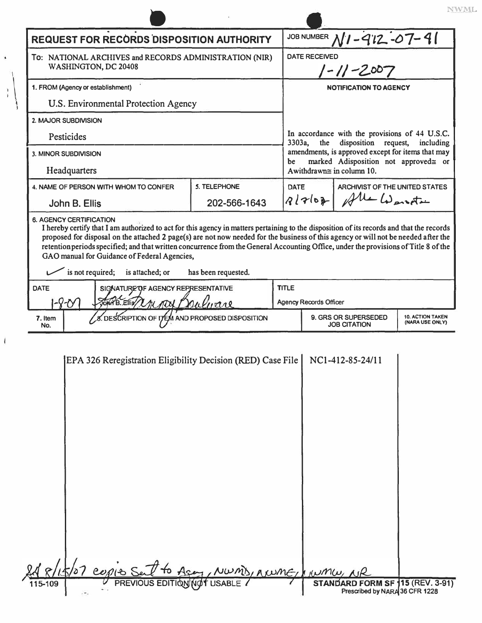| <b>REQUEST FOR RECORDS DISPOSITION AUTHORITY</b>                               |                                                                                                                                                                                                                                                                                                                                                                   |                     |              | JOB NUMBER $N1 - 912 - 07 - 91$                                                                                                                                                                         |                                             |                                            |
|--------------------------------------------------------------------------------|-------------------------------------------------------------------------------------------------------------------------------------------------------------------------------------------------------------------------------------------------------------------------------------------------------------------------------------------------------------------|---------------------|--------------|---------------------------------------------------------------------------------------------------------------------------------------------------------------------------------------------------------|---------------------------------------------|--------------------------------------------|
| To: NATIONAL ARCHIVES and RECORDS ADMINISTRATION (NIR)<br>WASHINGTON, DC 20408 |                                                                                                                                                                                                                                                                                                                                                                   |                     |              | <b>DATE RECEIVED</b><br>$1 - 11 - 2007$                                                                                                                                                                 |                                             |                                            |
| 1. FROM (Agency or establishment)                                              |                                                                                                                                                                                                                                                                                                                                                                   |                     |              | <b>NOTIFICATION TO AGENCY</b>                                                                                                                                                                           |                                             |                                            |
|                                                                                | U.S. Environmental Protection Agency                                                                                                                                                                                                                                                                                                                              |                     |              |                                                                                                                                                                                                         |                                             |                                            |
| 2. MAJOR SUBDIVISION                                                           |                                                                                                                                                                                                                                                                                                                                                                   |                     |              |                                                                                                                                                                                                         |                                             |                                            |
| Pesticides                                                                     |                                                                                                                                                                                                                                                                                                                                                                   |                     |              | In accordance with the provisions of 44 U.S.C.<br>disposition request,<br>3303a,<br>the<br>including<br>amendments, is approved except for items that may<br>marked Adisposition not approved≅ or<br>be |                                             |                                            |
| 3. MINOR SUBDIVISION                                                           |                                                                                                                                                                                                                                                                                                                                                                   |                     |              |                                                                                                                                                                                                         |                                             |                                            |
| Headquarters                                                                   |                                                                                                                                                                                                                                                                                                                                                                   |                     |              |                                                                                                                                                                                                         | Awithdrawn $\cong$ in column 10.            |                                            |
|                                                                                | 4. NAME OF PERSON WITH WHOM TO CONFER                                                                                                                                                                                                                                                                                                                             | 5. TELEPHONE        |              | <b>ARCHIVIST OF THE UNITED STATES</b><br>DATE<br>All Warste<br>91762                                                                                                                                    |                                             |                                            |
| John B. Ellis                                                                  |                                                                                                                                                                                                                                                                                                                                                                   | 202-566-1643        |              |                                                                                                                                                                                                         |                                             |                                            |
|                                                                                | proposed for disposal on the attached 2 page(s) are not now needed for the business of this agency or will not be needed after the<br>retention periods specified; and that written concurrence from the General Accounting Office, under the provisions of Title 8 of the<br>GAO manual for Guidance of Federal Agencies,<br>is not required;<br>is attached; or | has been requested. |              |                                                                                                                                                                                                         |                                             |                                            |
| SIGNATURE OF AGENCY REPRESENTATIVE<br><b>DATE</b>                              |                                                                                                                                                                                                                                                                                                                                                                   |                     | <b>TITLE</b> |                                                                                                                                                                                                         |                                             |                                            |
| 1-8-0<br>JOKA B. Ellis/ L/IL ADD P                                             |                                                                                                                                                                                                                                                                                                                                                                   |                     |              | <b>Agency Records Officer</b>                                                                                                                                                                           |                                             |                                            |
| 7. Item<br>No.                                                                 | DESCRIPTION OF ITEM AND PROPOSED DISPOSITION                                                                                                                                                                                                                                                                                                                      |                     |              |                                                                                                                                                                                                         | 9. GRS OR SUPERSEDED<br><b>JOB CITATION</b> | <b>10. ACTION TAKEN</b><br>(NARA USE ONLY) |
|                                                                                | EPA 326 Reregistration Eligibility Decision (RED) Case File                                                                                                                                                                                                                                                                                                       |                     |              |                                                                                                                                                                                                         | NC1-412-85-24/11                            |                                            |
|                                                                                |                                                                                                                                                                                                                                                                                                                                                                   |                     |              |                                                                                                                                                                                                         |                                             |                                            |

 $\it NWML$ 

**\**

 $\ddot{\bullet}$ 

 $\overline{\mathbf{I}}$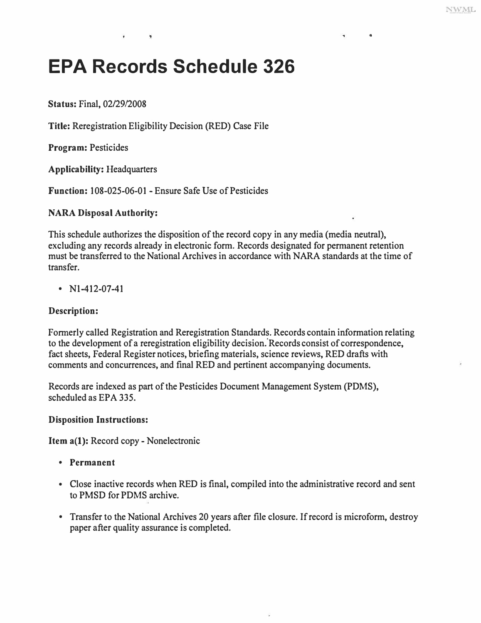$\mathbf{a}$ 

# **EPA Records Schedule 326**

**Status:** Final, 02/29/2008

**Title:** Reregistration Eligibility Decision (RED) Case File

**Program:** Pesticides

**Applicability:** Headquarters

**Function:** 108-025-06-01 - Ensure Safe Use of Pesticides

# **NARA Disposal Authority:**

This schedule authorizes the disposition of the record copy in any media (media neutral), excluding any records already in electronic form. Records designated for permanent retention must be transferred to the National Archives in accordance with NARA standards at the time of transfer.

•  $N1-412-07-41$ 

# **Description:**

Formerly called Registration and Reregistration Standards. Records contain information relating to the development of a reregistration eligibility decision. 'Records consist of correspondence, fact sheets, Federal Register notices, briefing materials, science reviews, RED drafts with comments and concurrences, and final RED and pertinent accompanying documents.

Records are indexed as part of the Pesticides Document Management System (PDMS), scheduled as EPA 335.

## **Disposition Instructions:**

**Item a(l):** Record copy- Nonelectronic

- **Permanent**
- Close inactive records when RED is final, compiled into the administrative record and sent to PMSD for PDMS archive.
- Transfer to the National Archives 20 years after file closure. If record is microform, destroy paper after quality assurance is completed.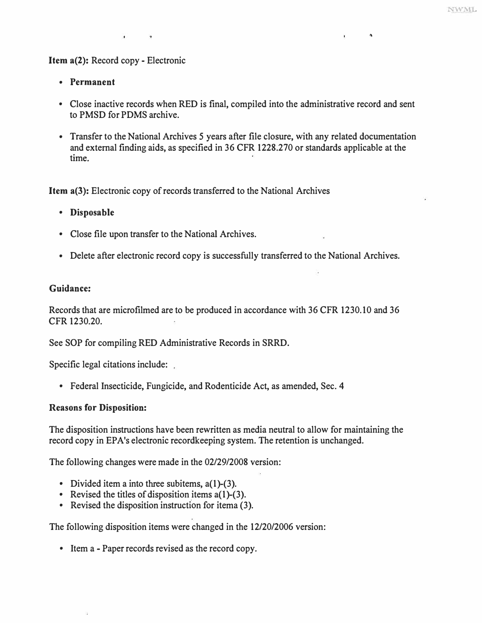"

#### **Item a(2): Record copy - Electronic**

- **Permanent**
- **Close inactive records when RED is final, compiled into the administrative record and sent to PMSD for PDMS archive.**
- **Transfer to the National Archives** *5* **years after file closure, with any related documentation and external finding aids, as specified in 36 CFR 1228.270 or standards applicable at the**  time.

**Item a{3): Electronic copy of records transferred to the National Archives** 

- **Disposable**
- **Close file upon transfer to the National Archives.**
- **Delete after electronic record copy is successfully transferred to the National Archives.**

#### **Guidance:**

**Records that are microfilmed are to be produced in accordance with 36 CFR 1230.10 and 36 CFR 1230.20.** 

**See SOP for compiling RED Administrative Records in SRRD.** 

**Specific legal citations include:** 

**• Federal Insecticide, Fungicide, and Rodenticide Act, as amended, Sec. 4** 

#### **Reasons for Disposition:**

**The disposition instructions have been rewritten as media neutral to allow for maintaining the record copy in EPA's electronic recordkeeping system. The retention is unchanged.** 

**The following changes were made in the 02/29/2008 version:** 

- 
- Divided item a into three subitems, a(1)-(3).<br>• Revised the titles of disposition items a(1)-(3).<br>• Revised the disposition instruction for itema (3).
- 

**The following disposition items were changed in the 12/20/2006 version:** 

**• Item a - Paper records revised as the record copy.**